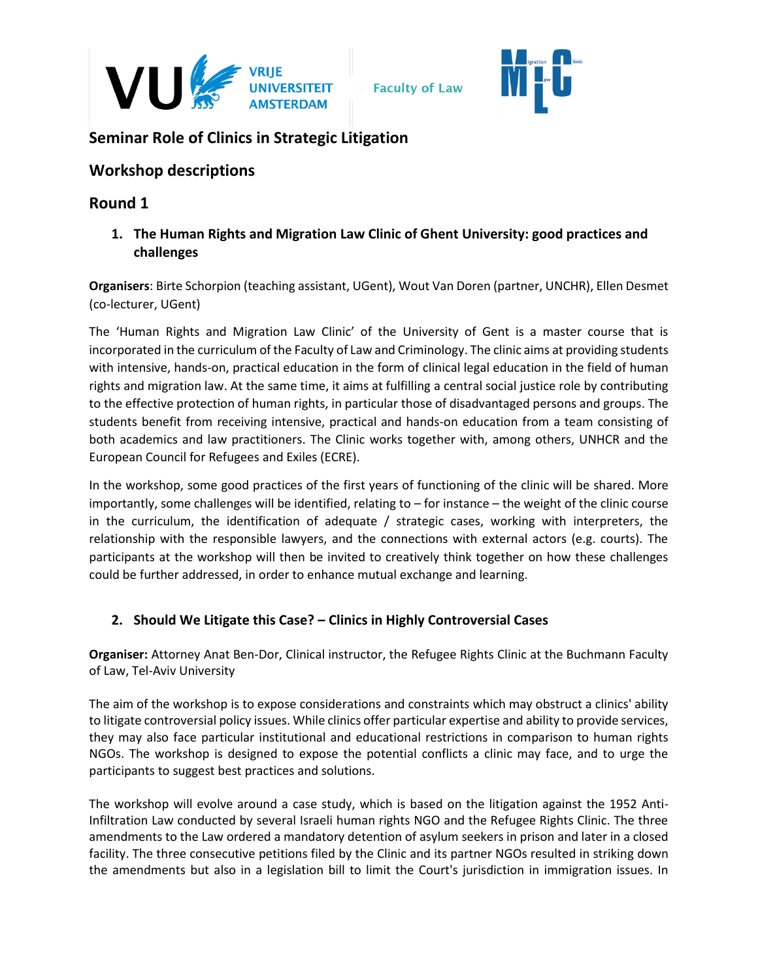



# **Seminar Role of Clinics in Strategic Litigation**

## **Workshop descriptions**

# **Round 1**

**1. The Human Rights and Migration Law Clinic of Ghent University: good practices and challenges**

**Organisers**: Birte Schorpion (teaching assistant, UGent), Wout Van Doren (partner, UNCHR), Ellen Desmet (co-lecturer, UGent)

The 'Human Rights and Migration Law Clinic' of the University of Gent is a master course that is incorporated in the curriculum of the Faculty of Law and Criminology. The clinic aims at providing students with intensive, hands-on, practical education in the form of clinical legal education in the field of human rights and migration law. At the same time, it aims at fulfilling a central social justice role by contributing to the effective protection of human rights, in particular those of disadvantaged persons and groups. The students benefit from receiving intensive, practical and hands-on education from a team consisting of both academics and law practitioners. The Clinic works together with, among others, UNHCR and the European Council for Refugees and Exiles (ECRE).

In the workshop, some good practices of the first years of functioning of the clinic will be shared. More importantly, some challenges will be identified, relating to – for instance – the weight of the clinic course in the curriculum, the identification of adequate / strategic cases, working with interpreters, the relationship with the responsible lawyers, and the connections with external actors (e.g. courts). The participants at the workshop will then be invited to creatively think together on how these challenges could be further addressed, in order to enhance mutual exchange and learning.

## **2. Should We Litigate this Case? – Clinics in Highly Controversial Cases**

**Organiser:** Attorney Anat Ben-Dor, Clinical instructor, the Refugee Rights Clinic at the Buchmann Faculty of Law, Tel-Aviv University

The aim of the workshop is to expose considerations and constraints which may obstruct a clinics' ability to litigate controversial policy issues. While clinics offer particular expertise and ability to provide services, they may also face particular institutional and educational restrictions in comparison to human rights NGOs. The workshop is designed to expose the potential conflicts a clinic may face, and to urge the participants to suggest best practices and solutions.

The workshop will evolve around a case study, which is based on the litigation against the 1952 Anti-Infiltration Law conducted by several Israeli human rights NGO and the Refugee Rights Clinic. The three amendments to the Law ordered a mandatory detention of asylum seekers in prison and later in a closed facility. The three consecutive petitions filed by the Clinic and its partner NGOs resulted in striking down the amendments but also in a legislation bill to limit the Court's jurisdiction in immigration issues. In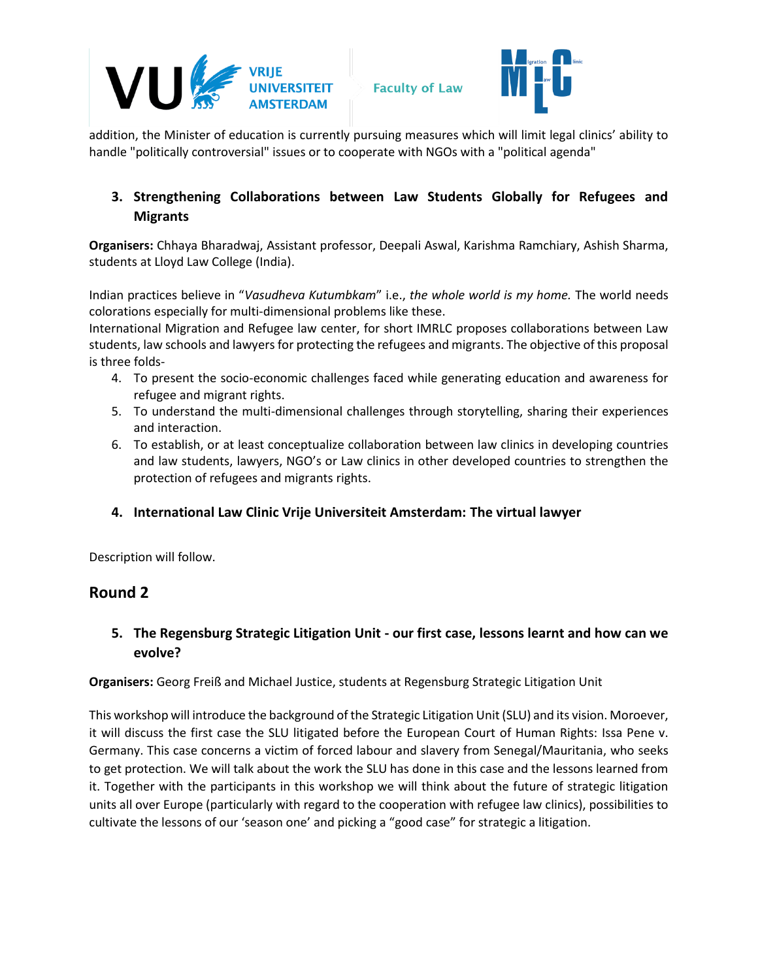



addition, the Minister of education is currently pursuing measures which will limit legal clinics' ability to handle "politically controversial" issues or to cooperate with NGOs with a "political agenda"

## **3. Strengthening Collaborations between Law Students Globally for Refugees and Migrants**

**Organisers:** Chhaya Bharadwaj, Assistant professor, Deepali Aswal, Karishma Ramchiary, Ashish Sharma, students at Lloyd Law College (India).

Indian practices believe in "*Vasudheva Kutumbkam*" i.e., *the whole world is my home.* The world needs colorations especially for multi-dimensional problems like these.

International Migration and Refugee law center, for short IMRLC proposes collaborations between Law students, law schools and lawyers for protecting the refugees and migrants. The objective of this proposal is three folds-

- 4. To present the socio-economic challenges faced while generating education and awareness for refugee and migrant rights.
- 5. To understand the multi-dimensional challenges through storytelling, sharing their experiences and interaction.
- 6. To establish, or at least conceptualize collaboration between law clinics in developing countries and law students, lawyers, NGO's or Law clinics in other developed countries to strengthen the protection of refugees and migrants rights.

#### **4. International Law Clinic Vrije Universiteit Amsterdam: The virtual lawyer**

Description will follow.

#### **Round 2**

## **5. The Regensburg Strategic Litigation Unit - our first case, lessons learnt and how can we evolve?**

**Organisers:** Georg Freiß and Michael Justice, students at Regensburg Strategic Litigation Unit

This workshop will introduce the background of the Strategic Litigation Unit (SLU) and its vision. Moroever, it will discuss the first case the SLU litigated before the European Court of Human Rights: Issa Pene v. Germany. This case concerns a victim of forced labour and slavery from Senegal/Mauritania, who seeks to get protection. We will talk about the work the SLU has done in this case and the lessons learned from it. Together with the participants in this workshop we will think about the future of strategic litigation units all over Europe (particularly with regard to the cooperation with refugee law clinics), possibilities to cultivate the lessons of our 'season one' and picking a "good case" for strategic a litigation.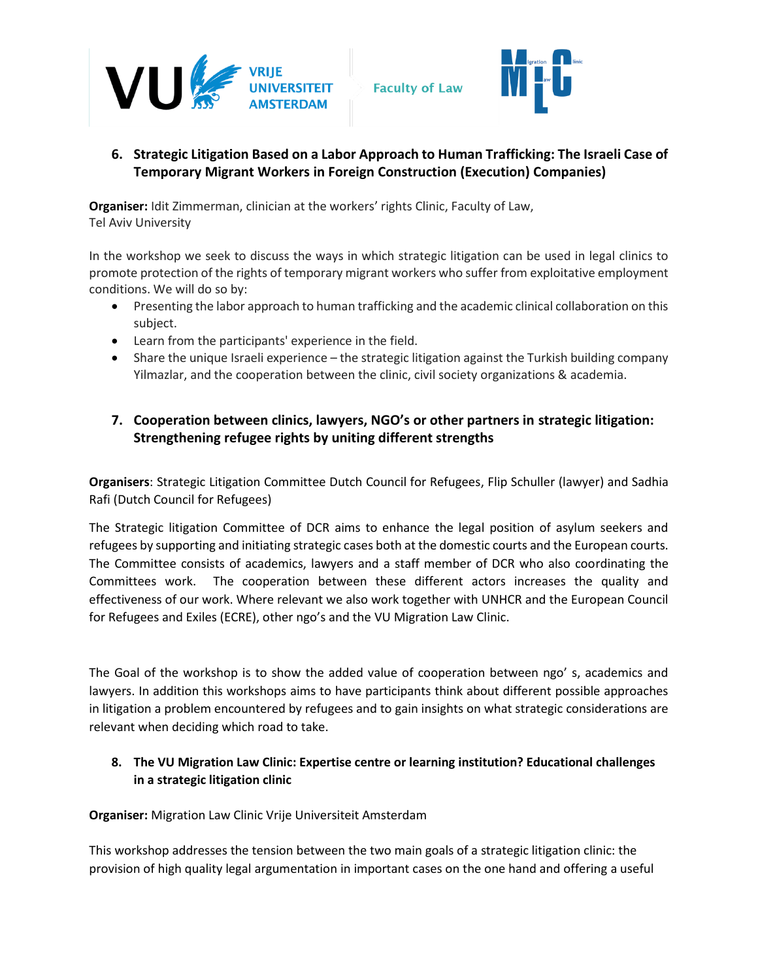

**Faculty of Law** 



## **6. Strategic Litigation Based on a Labor Approach to Human Trafficking: The Israeli Case of Temporary Migrant Workers in Foreign Construction (Execution) Companies)**

**Organiser:** Idit Zimmerman, clinician at the workers' rights Clinic, Faculty of Law, Tel Aviv University

In the workshop we seek to discuss the ways in which strategic litigation can be used in legal clinics to promote protection of the rights of temporary migrant workers who suffer from exploitative employment conditions. We will do so by:

- Presenting the labor approach to human trafficking and the academic clinical collaboration on this subject.
- Learn from the participants' experience in the field.
- Share the unique Israeli experience the strategic litigation against the Turkish building company Yilmazlar, and the cooperation between the clinic, civil society organizations & academia.

### **7. Cooperation between clinics, lawyers, NGO's or other partners in strategic litigation: Strengthening refugee rights by uniting different strengths**

**Organisers**: Strategic Litigation Committee Dutch Council for Refugees, Flip Schuller (lawyer) and Sadhia Rafi (Dutch Council for Refugees)

The Strategic litigation Committee of DCR aims to enhance the legal position of asylum seekers and refugees by supporting and initiating strategic cases both at the domestic courts and the European courts. The Committee consists of academics, lawyers and a staff member of DCR who also coordinating the Committees work. The cooperation between these different actors increases the quality and effectiveness of our work. Where relevant we also work together with UNHCR and the European Council for Refugees and Exiles (ECRE), other ngo's and the VU Migration Law Clinic.

The Goal of the workshop is to show the added value of cooperation between ngo' s, academics and lawyers. In addition this workshops aims to have participants think about different possible approaches in litigation a problem encountered by refugees and to gain insights on what strategic considerations are relevant when deciding which road to take.

#### **8. The VU Migration Law Clinic: Expertise centre or learning institution? Educational challenges in a strategic litigation clinic**

**Organiser:** Migration Law Clinic Vrije Universiteit Amsterdam

This workshop addresses the tension between the two main goals of a strategic litigation clinic: the provision of high quality legal argumentation in important cases on the one hand and offering a useful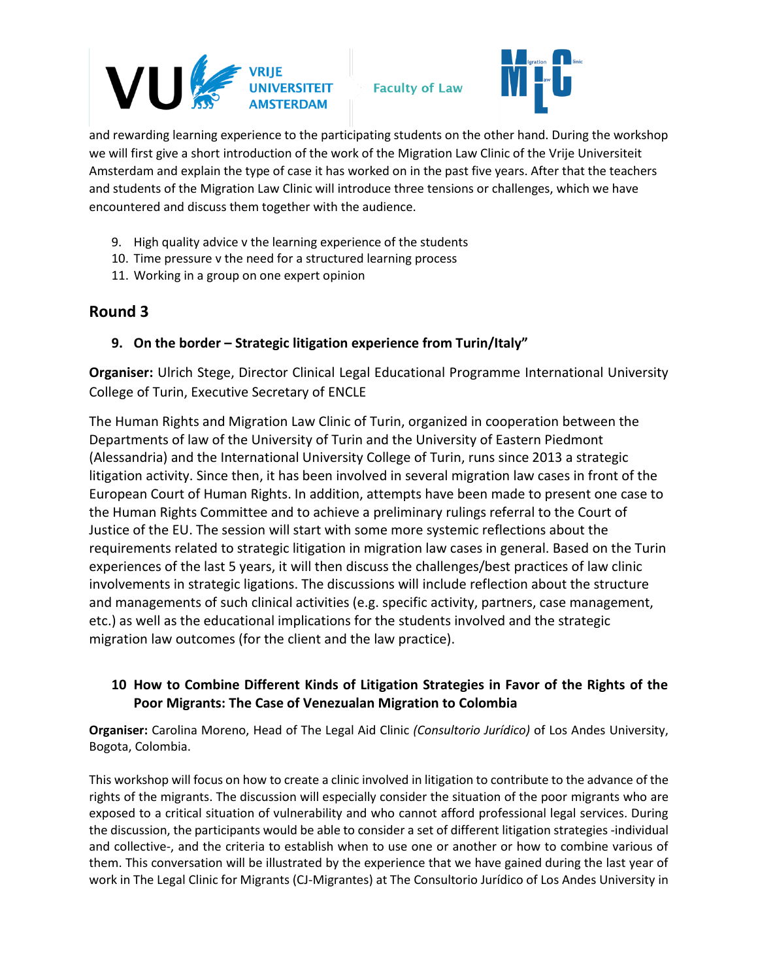

**Faculty of Law** 



and rewarding learning experience to the participating students on the other hand. During the workshop we will first give a short introduction of the work of the Migration Law Clinic of the Vrije Universiteit Amsterdam and explain the type of case it has worked on in the past five years. After that the teachers and students of the Migration Law Clinic will introduce three tensions or challenges, which we have encountered and discuss them together with the audience.

- 9. High quality advice v the learning experience of the students
- 10. Time pressure v the need for a structured learning process
- 11. Working in a group on one expert opinion

## **Round 3**

#### **9. On the border – Strategic litigation experience from Turin/Italy"**

**Organiser:** Ulrich Stege, Director Clinical Legal Educational Programme International University College of Turin, Executive Secretary of ENCLE

The Human Rights and Migration Law Clinic of Turin, organized in cooperation between the Departments of law of the University of Turin and the University of Eastern Piedmont (Alessandria) and the International University College of Turin, runs since 2013 a strategic litigation activity. Since then, it has been involved in several migration law cases in front of the European Court of Human Rights. In addition, attempts have been made to present one case to the Human Rights Committee and to achieve a preliminary rulings referral to the Court of Justice of the EU. The session will start with some more systemic reflections about the requirements related to strategic litigation in migration law cases in general. Based on the Turin experiences of the last 5 years, it will then discuss the challenges/best practices of law clinic involvements in strategic ligations. The discussions will include reflection about the structure and managements of such clinical activities (e.g. specific activity, partners, case management, etc.) as well as the educational implications for the students involved and the strategic migration law outcomes (for the client and the law practice).

## **10 How to Combine Different Kinds of Litigation Strategies in Favor of the Rights of the Poor Migrants: The Case of Venezualan Migration to Colombia**

**Organiser:** Carolina Moreno, Head of The Legal Aid Clinic *(Consultorio Jurídico)* of Los Andes University, Bogota, Colombia.

This workshop will focus on how to create a clinic involved in litigation to contribute to the advance of the rights of the migrants. The discussion will especially consider the situation of the poor migrants who are exposed to a critical situation of vulnerability and who cannot afford professional legal services. During the discussion, the participants would be able to consider a set of different litigation strategies -individual and collective-, and the criteria to establish when to use one or another or how to combine various of them. This conversation will be illustrated by the experience that we have gained during the last year of work in The Legal Clinic for Migrants (CJ-Migrantes) at The Consultorio Jurídico of Los Andes University in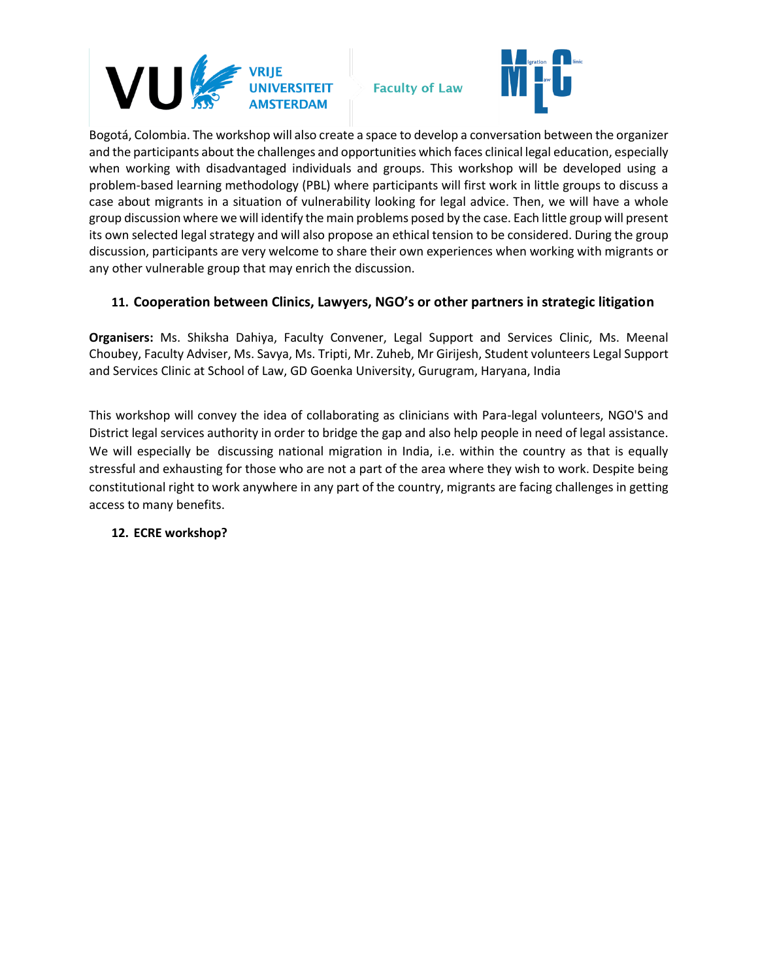

**Faculty of Law** 



Bogotá, Colombia. The workshop will also create a space to develop a conversation between the organizer and the participants about the challenges and opportunities which faces clinical legal education, especially when working with disadvantaged individuals and groups. This workshop will be developed using a problem-based learning methodology (PBL) where participants will first work in little groups to discuss a case about migrants in a situation of vulnerability looking for legal advice. Then, we will have a whole group discussion where we will identify the main problems posed by the case. Each little group will present its own selected legal strategy and will also propose an ethical tension to be considered. During the group discussion, participants are very welcome to share their own experiences when working with migrants or any other vulnerable group that may enrich the discussion.

#### **11. Cooperation between Clinics, Lawyers, NGO's or other partners in strategic litigation**

**Organisers:** Ms. Shiksha Dahiya, Faculty Convener, Legal Support and Services Clinic, Ms. Meenal Choubey, Faculty Adviser, Ms. Savya, Ms. Tripti, Mr. Zuheb, Mr Girijesh, Student volunteers Legal Support and Services Clinic at School of Law, GD Goenka University, Gurugram, Haryana, India

This workshop will convey the idea of collaborating as clinicians with Para-legal volunteers, NGO'S and District legal services authority in order to bridge the gap and also help people in need of legal assistance. We will especially be discussing national migration in India, i.e. within the country as that is equally stressful and exhausting for those who are not a part of the area where they wish to work. Despite being constitutional right to work anywhere in any part of the country, migrants are facing challenges in getting access to many benefits.

#### **12. ECRE workshop?**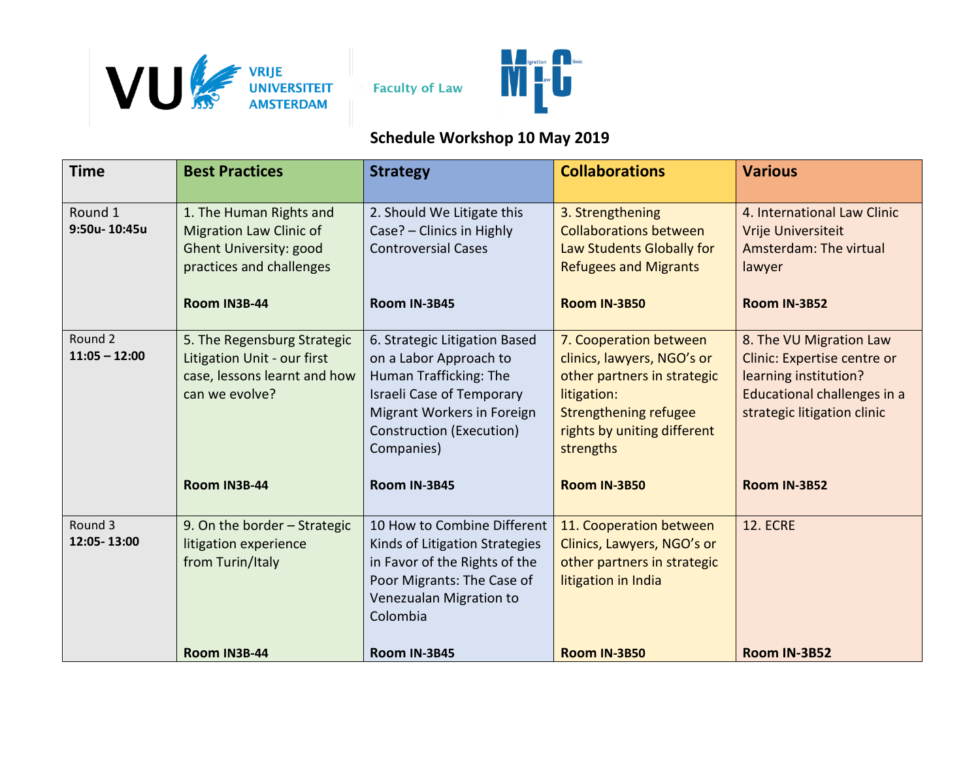



# **Schedule Workshop 10 May 2019**

| <b>Time</b>                | <b>Best Practices</b>                                                                                                                  | <b>Strategy</b>                                                                                                                                                                                               | <b>Collaborations</b>                                                                                                                                                                                 | <b>Various</b>                                                                                                                                                       |
|----------------------------|----------------------------------------------------------------------------------------------------------------------------------------|---------------------------------------------------------------------------------------------------------------------------------------------------------------------------------------------------------------|-------------------------------------------------------------------------------------------------------------------------------------------------------------------------------------------------------|----------------------------------------------------------------------------------------------------------------------------------------------------------------------|
| Round 1<br>9:50u-10:45u    | 1. The Human Rights and<br><b>Migration Law Clinic of</b><br><b>Ghent University: good</b><br>practices and challenges<br>Room IN3B-44 | 2. Should We Litigate this<br>Case? - Clinics in Highly<br><b>Controversial Cases</b><br>Room IN-3B45                                                                                                         | 3. Strengthening<br><b>Collaborations between</b><br>Law Students Globally for<br><b>Refugees and Migrants</b><br><b>Room IN-3B50</b>                                                                 | 4. International Law Clinic<br>Vrije Universiteit<br>Amsterdam: The virtual<br>lawyer<br><b>Room IN-3B52</b>                                                         |
| Round 2<br>$11:05 - 12:00$ | 5. The Regensburg Strategic<br>Litigation Unit - our first<br>case, lessons learnt and how<br>can we evolve?<br>Room IN3B-44           | 6. Strategic Litigation Based<br>on a Labor Approach to<br>Human Trafficking: The<br><b>Israeli Case of Temporary</b><br>Migrant Workers in Foreign<br>Construction (Execution)<br>Companies)<br>Room IN-3B45 | 7. Cooperation between<br>clinics, lawyers, NGO's or<br>other partners in strategic<br>litigation:<br><b>Strengthening refugee</b><br>rights by uniting different<br>strengths<br><b>Room IN-3B50</b> | 8. The VU Migration Law<br>Clinic: Expertise centre or<br>learning institution?<br>Educational challenges in a<br>strategic litigation clinic<br><b>Room IN-3B52</b> |
| Round 3<br>12:05-13:00     | 9. On the border - Strategic<br>litigation experience<br>from Turin/Italy<br>Room IN3B-44                                              | 10 How to Combine Different<br>Kinds of Litigation Strategies<br>in Favor of the Rights of the<br>Poor Migrants: The Case of<br>Venezualan Migration to<br>Colombia<br>Room IN-3B45                           | 11. Cooperation between<br>Clinics, Lawyers, NGO's or<br>other partners in strategic<br>litigation in India<br><b>Room IN-3B50</b>                                                                    | <b>12. ECRE</b><br>Room IN-3B52                                                                                                                                      |